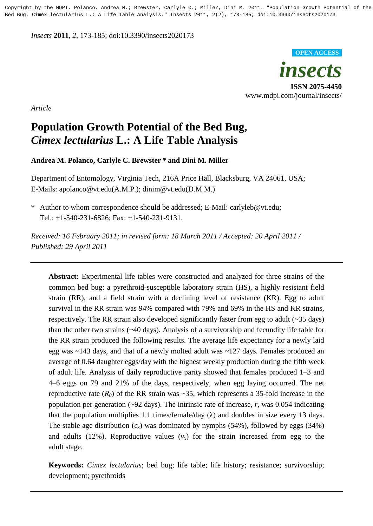Copyright by the MDPI. Polanco, Andrea M.; Brewster, Carlyle C.; Miller, Dini M. 2011. "Population Growth Potential of the Bed Bug, Cimex lectularius L.: A Life Table Analysis." Insects 2011, 2(2), 173-185; doi:10.3390/insects2020173

*Insects* **2011**, *2*, 173-185; doi:10.3390/insects2020173



*Article* 3

# **Population Growth Potential of the Bed Bug,** <sup>4</sup> *Cimex lectularius* **L.: A Life Table Analysis** <sup>5</sup>

**Andrea M. Polanco, Carlyle C. Brewster \* and Dini M. Miller** 6

Department of Entomology, Virginia Tech, 216A Price Hall, Blacksburg, VA 24061, USA; 7 E-Mails: apolanco@vt.edu(A.M.P.); dinim@vt.edu(D.M.M.) 8

\* Author to whom correspondence should be addressed; E-Mail: carlyleb@vt.edu; 9 Tel.:  $+1-540-231-6826$ ; Fax:  $+1-540-231-9131$ .

*Received: 16 February 2011; in revised form: 18 March 2011 / Accepted: 20 April 2011 /* 11 *Published:* 29 April 2011

Abstract: Experimental life tables were constructed and analyzed for three strains of the common bed bug: a pyrethroid-susceptible laboratory strain (HS), a highly resistant field strain (RR), and a field strain with a declining level of resistance  $(KR)$ . Egg to adult survival in the RR strain was 94% compared with 79% and 69% in the HS and KR strains, respectively. The RR strain also developed significantly faster from egg to adult  $(\sim 35 \text{ days})$ than the other two strains  $(\sim 40 \text{ days})$ . Analysis of a survivorship and fecundity life table for the RR strain produced the following results. The average life expectancy for a newly laid egg was  $\sim$ 143 days, and that of a newly molted adult was  $\sim$ 127 days. Females produced an average of 0.64 daughter eggs/day with the highest weekly production during the fifth week of adult life. Analysis of daily reproductive parity showed that females produced 1–3 and 4–6 eggs on 79 and 21% of the days, respectively, when egg laying occurred. The net reproductive rate  $(R_0)$  of the RR strain was  $\sim$ 35, which represents a 35-fold increase in the population per generation ( $\sim$ 92 days). The intrinsic rate of increase, *r*, was 0.054 indicating that the population multiplies 1.1 times/female/day  $(\lambda)$  and doubles in size every 13 days. The stable age distribution  $(c_x)$  was dominated by nymphs (54%), followed by eggs (34%) and adults (12%). Reproductive values  $(v_x)$  for the strain increased from egg to the adult stage. The stage of the stage of the stage of the stage of the stage of the stage of the stage of the stage of the stage of the stage of the stage of the stage of the stage of the stage of the stage of the stage of t

Keywords: *Cimex lectularius*; bed bug; life table; life history; resistance; survivorship; development; pyrethroids 322 and 322 and 322 and 322 and 322 and 322 and 322 and 322 and 322 and 322 and 322 and 322 and 322 and 322 and 322 and 322 and 322 and 322 and 322 and 322 and 322 and 322 and 322 and 322 and 322 a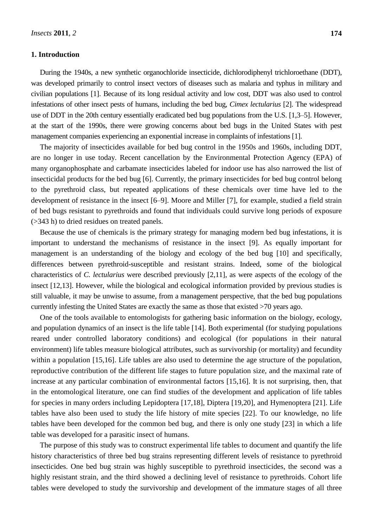# **1. Introduction** 34

During the 1940s, a new synthetic organochloride insecticide, dichlorodiphenyl trichloroethane (DDT), was developed primarily to control insect vectors of diseases such as malaria and typhus in military and civilian populations [1]. Because of its long residual activity and low cost, DDT was also used to control 37 infestations of other insect pests of humans, including the bed bug, *Cimex lectularius* [2]. The widespread use of DDT in the 20th century essentially eradicated bed bug populations from the U.S. [1,3–5]. However, at the start of the 1990s, there were growing concerns about bed bugs in the United States with pest management companies experiencing an exponential increase in complaints of infestations [1].

The majority of insecticides available for bed bug control in the 1950s and 1960s, including DDT, are no longer in use today. Recent cancellation by the Environmental Protection Agency (EPA) of many organophosphate and carbamate insecticides labeled for indoor use has also narrowed the list of 44 insecticidal products for the bed bug [6]. Currently, the primary insecticides for bed bug control belong 45 to the pyrethroid class, but repeated applications of these chemicals over time have led to the development of resistance in the insect [6–9]. Moore and Miller [7], for example, studied a field strain of bed bugs resistant to pyrethroids and found that individuals could survive long periods of exposure 48  $($ >343 h) to dried residues on treated panels.

Because the use of chemicals is the primary strategy for managing modern bed bug infestations, it is important to understand the mechanisms of resistance in the insect [9]. As equally important for management is an understanding of the biology and ecology of the bed bug [10] and specifically, differences between pyrethroid-susceptible and resistant strains. Indeed, some of the biological characteristics of *C. lectularius* were described previously [2,11], as were aspects of the ecology of the insect [12,13]. However, while the biological and ecological information provided by previous studies is still valuable, it may be unwise to assume, from a management perspective, that the bed bug populations 56 currently infesting the United States are exactly the same as those that existed  $>70$  years ago.

One of the tools available to entomologists for gathering basic information on the biology, ecology, and population dynamics of an insect is the life table [14]. Both experimental (for studying populations reared under controlled laboratory conditions) and ecological (for populations in their natural environment) life tables measure biological attributes, such as survivorship (or mortality) and fecundity within a population [15,16]. Life tables are also used to determine the age structure of the population, reproductive contribution of the different life stages to future population size, and the maximal rate of increase at any particular combination of environmental factors  $[15,16]$ . It is not surprising, then, that in the entomological literature, one can find studies of the development and application of life tables for species in many orders including Lepidoptera  $[17,18]$ , Diptera  $[19,20]$ , and Hymenoptera  $[21]$ . Life tables have also been used to study the life history of mite species [22]. To our knowledge, no life tables have been developed for the common bed bug, and there is only one study [23] in which a life table was developed for a parasitic insect of humans.

The purpose of this study was to construct experimental life tables to document and quantify the life history characteristics of three bed bug strains representing different levels of resistance to pyrethroid insecticides. One bed bug strain was highly susceptible to pyrethroid insecticides, the second was a highly resistant strain, and the third showed a declining level of resistance to pyrethroids. Cohort life tables were developed to study the survivorship and development of the immature stages of all three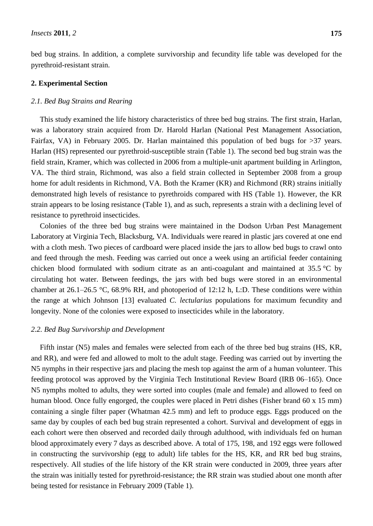bed bug strains. In addition, a complete survivorship and fecundity life table was developed for the pyrethroid-resistant strain. The strain of the strain strain.

#### **2. Experimental Section**

#### *a.1. Bed Bug Strains and Rearing 788 Algebra 7888 <i>Algebra 7888 <i>Algebra* 7888 *Algebra* 7888 *Algebra* 7888 *Algebra* 7888 *Algebra* 7888 *Algebra* 7888 *Algebra* 7888 *Algebra* 7888 *Algebra* 7888 *Algebra* 788

This study examined the life history characteristics of three bed bug strains. The first strain, Harlan, was a laboratory strain acquired from Dr. Harold Harlan (National Pest Management Association, Fairfax, VA) in February 2005. Dr. Harlan maintained this population of bed bugs for  $>37$  years. Harlan (HS) represented our pyrethroid-susceptible strain (Table 1). The second bed bug strain was the field strain, Kramer, which was collected in 2006 from a multiple-unit apartment building in Arlington, VA. The third strain, Richmond, was also a field strain collected in September 2008 from a group home for adult residents in Richmond, VA. Both the Kramer (KR) and Richmond (RR) strains initially demonstrated high levels of resistance to pyrethroids compared with HS (Table 1). However, the KR strain appears to be losing resistance (Table 1), and as such, represents a strain with a declining level of resistance to pyrethroid insecticides.

Colonies of the three bed bug strains were maintained in the Dodson Urban Pest Management Laboratory at Virginia Tech, Blacksburg, VA. Individuals were reared in plastic jars covered at one end with a cloth mesh. Two pieces of cardboard were placed inside the jars to allow bed bugs to crawl onto and feed through the mesh. Feeding was carried out once a week using an artificial feeder containing chicken blood formulated with sodium citrate as an anti-coagulant and maintained at 35.5  $\degree$ C by circulating hot water. Between feedings, the jars with bed bugs were stored in an environmental chamber at 26.1–26.5 °C, 68.9% RH, and photoperiod of 12:12 h, L:D. These conditions were within the range at which Johnson [13] evaluated *C. lectularius* populations for maximum fecundity and longevity. None of the colonies were exposed to insecticides while in the laboratory.

# **2.2. Bed Bug Survivorship and Development**

Fifth instar (N5) males and females were selected from each of the three bed bug strains (HS, KR, and RR), and were fed and allowed to molt to the adult stage. Feeding was carried out by inverting the N5 nymphs in their respective jars and placing the mesh top against the arm of a human volunteer. This feeding protocol was approved by the Virginia Tech Institutional Review Board (IRB 06–165). Once N5 nymphs molted to adults, they were sorted into couples (male and female) and allowed to feed on human blood. Once fully engorged, the couples were placed in Petri dishes (Fisher brand  $60 \times 15 \text{ mm}$ ) containing a single filter paper (Whatman 42.5 mm) and left to produce eggs. Eggs produced on the same day by couples of each bed bug strain represented a cohort. Survival and development of eggs in each cohort were then observed and recorded daily through adulthood, with individuals fed on human blood approximately every 7 days as described above. A total of 175, 198, and 192 eggs were followed in constructing the survivorship (egg to adult) life tables for the HS, KR, and RR bed bug strains, respectively. All studies of the life history of the KR strain were conducted in 2009, three years after the strain was initially tested for pyrethroid-resistance; the RR strain was studied about one month after being tested for resistance in February 2009 (Table 1).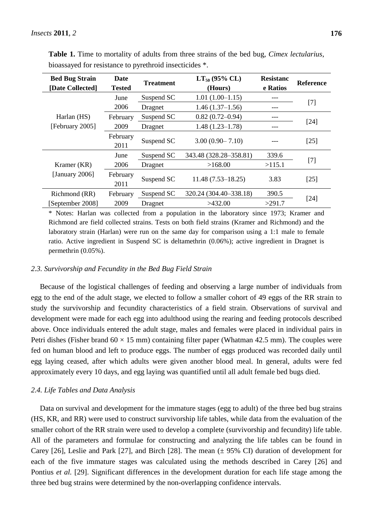| <b>Bed Bug Strain</b><br>[Date Collected] | <b>Date</b><br><b>Tested</b> | <b>Treatment</b> | $LT_{50}$ (95% CL)<br>(Hours) | <b>Resistanc</b><br>e Ratios | <b>Reference</b> |  |
|-------------------------------------------|------------------------------|------------------|-------------------------------|------------------------------|------------------|--|
|                                           | June                         | Suspend SC       | $1.01(1.00-1.15)$             | ---                          |                  |  |
|                                           | 2006                         | Dragnet          | $1.46(1.37-1.56)$             |                              | $[7]$            |  |
| Harlan (HS)                               | February                     | Suspend SC       | $0.82(0.72 - 0.94)$           | ---                          |                  |  |
| [February 2005]                           | 2009                         | Dragnet          | $1.48(1.23 - 1.78)$           | ---                          | $[24]$           |  |
|                                           | February<br>2011             | Suspend SC       | $3.00(0.90 - 7.10)$           | ---                          | [25]             |  |
|                                           | June                         | Suspend SC       | 343.48 (328.28–358.81)        | 339.6                        |                  |  |
| Kramer (KR)                               | 2006                         | Dragnet          | >115.1<br>>168.00             |                              | $[7]$            |  |
| [January 2006]                            | February<br>2011             | Suspend SC       | $11.48(7.53 - 18.25)$         | 3.83                         | [25]             |  |
| Richmond (RR)                             | February                     | Suspend SC       | 320.24 (304.40–338.18)        | 390.5                        |                  |  |
| [September 2008]                          | 2009                         | Dragnet          | >432.00                       | >291.7                       | $[24]$           |  |

**Table 1.** Time to mortality of adults from three strains of the bed bug, *Cimex lectularius*, bioassayed for resistance to pyrethroid insecticides  $*$ .

\* Notes: Harlan was collected from a population in the laboratory since 1973; Kramer and 115 Richmond are field collected strains. Tests on both field strains (Kramer and Richmond) and the laboratory strain (Harlan) were run on the same day for comparison using a  $1:1$  male to female ratio. Active ingredient in Suspend SC is deltamethrin (0.06%); active ingredient in Dragnet is permethrin  $(0.05\%)$ .

### *2.3. Survivorship and Fecundity in the Bed Bug Field Strain* 120

Because of the logistical challenges of feeding and observing a large number of individuals from egg to the end of the adult stage, we elected to follow a smaller cohort of 49 eggs of the RR strain to study the survivorship and fecundity characteristics of a field strain. Observations of survival and development were made for each egg into adulthood using the rearing and feeding protocols described above. Once individuals entered the adult stage, males and females were placed in individual pairs in Petri dishes (Fisher brand  $60 \times 15$  mm) containing filter paper (Whatman 42.5 mm). The couples were fed on human blood and left to produce eggs. The number of eggs produced was recorded daily until egg laying ceased, after which adults were given another blood meal. In general, adults were fed approximately every 10 days, and egg laying was quantified until all adult female bed bugs died.

# 2.4. *Life* Tables and Data Analysis 130 and 230 and 230 and 230 and 230 and 230 and 230 and 230 and 230 and 230 and 230 and 230 and 230 and 230 and 230 and 230 and 230 and 230 and 230 and 230 and 230 and 230 and 230 and 2

Data on survival and development for the immature stages (egg to adult) of the three bed bug strains (HS, KR, and RR) were used to construct survivorship life tables, while data from the evaluation of the smaller cohort of the RR strain were used to develop a complete (survivorship and fecundity) life table. All of the parameters and formulae for constructing and analyzing the life tables can be found in Carey [26], Leslie and Park [27], and Birch [28]. The mean  $(\pm 95\%$  CI) duration of development for each of the five immature stages was calculated using the methods described in Carey [26] and Pontius *et al.* [29]. Significant differences in the development duration for each life stage among the three bed bug strains were determined by the non-overlapping confidence intervals.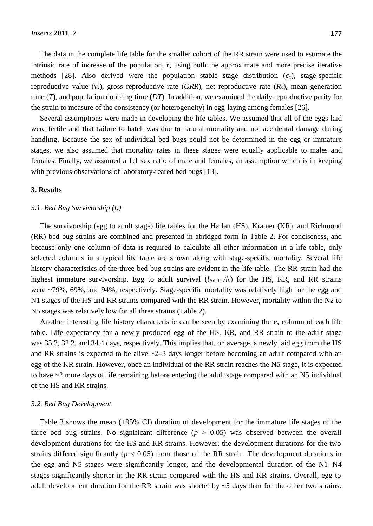The data in the complete life table for the smaller cohort of the RR strain were used to estimate the intrinsic rate of increase of the population,  $r$ , using both the approximate and more precise iterative methods [28]. Also derived were the population stable stage distribution  $(c<sub>x</sub>)$ , stage-specific reproductive value  $(v<sub>x</sub>)$ , gross reproductive rate (*GRR*), net reproductive rate ( $R<sub>0</sub>$ ), mean generation time  $(T)$ , and population doubling time  $(DT)$ . In addition, we examined the daily reproductive parity for the strain to measure of the consistency (or heterogeneity) in egg-laying among females [26].

Several assumptions were made in developing the life tables. We assumed that all of the eggs laid were fertile and that failure to hatch was due to natural mortality and not accidental damage during 146 handling. Because the sex of individual bed bugs could not be determined in the egg or immature stages, we also assumed that mortality rates in these stages were equally applicable to males and females. Finally, we assumed a 1:1 sex ratio of male and females, an assumption which is in keeping with previous observations of laboratory-reared bed bugs [13].

#### **3.** Results

# *3.1. Bed Bug Survivorship*  $(l_x)$

The survivorship (egg to adult stage) life tables for the Harlan (HS), Kramer (KR), and Richmond (RR) bed bug strains are combined and presented in abridged form in Table 2. For conciseness, and because only one column of data is required to calculate all other information in a life table, only selected columns in a typical life table are shown along with stage-specific mortality. Several life history characteristics of the three bed bug strains are evident in the life table. The RR strain had the highest immature survivorship. Egg to adult survival  $(l_{\text{Adult}}/l_0)$  for the HS, KR, and RR strains were ~79%, 69%, and 94%, respectively. Stage-specific mortality was relatively high for the egg and N1 stages of the HS and KR strains compared with the RR strain. However, mortality within the N2 to N5 stages was relatively low for all three strains (Table 2).

Another interesting life history characteristic can be seen by examining the  $e_x$  column of each life table. Life expectancy for a newly produced egg of the HS, KR, and RR strain to the adult stage was 35.3, 32.2, and 34.4 days, respectively. This implies that, on average, a newly laid egg from the HS and RR strains is expected to be alive  $\sim$ 2–3 days longer before becoming an adult compared with an egg of the KR strain. However, once an individual of the RR strain reaches the N5 stage, it is expected to have  $\sim$ 2 more days of life remaining before entering the adult stage compared with an N5 individual of the HS and KR strains.

#### *3.2. Bed Bug Development* 169

Table 3 shows the mean ( $\pm$ 95% CI) duration of development for the immature life stages of the three bed bug strains. No significant difference  $(p > 0.05)$  was observed between the overall development durations for the HS and KR strains. However, the development durations for the two strains differed significantly ( $p < 0.05$ ) from those of the RR strain. The development durations in the egg and N5 stages were significantly longer, and the developmental duration of the  $N1-N4$ stages significantly shorter in the RR strain compared with the HS and KR strains. Overall, egg to adult development duration for the RR strain was shorter by  $\sim$  5 days than for the other two strains.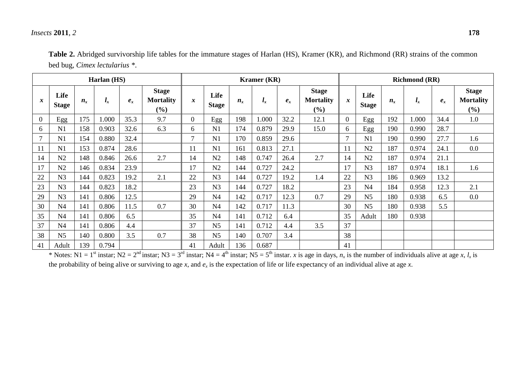# *Insects* **2011**, *2* **178**

| Harlan (HS) |                      |             |       |         | Kramer (KR)                             |                  |                      |             | <b>Richmond (RR)</b> |         |                                         |                  |                      |             |       |       |                                            |
|-------------|----------------------|-------------|-------|---------|-----------------------------------------|------------------|----------------------|-------------|----------------------|---------|-----------------------------------------|------------------|----------------------|-------------|-------|-------|--------------------------------------------|
| $\mathbf x$ | Life<br><b>Stage</b> | $n_{\rm r}$ | $l_x$ | $e_{x}$ | <b>Stage</b><br><b>Mortality</b><br>(%) | $\boldsymbol{x}$ | Life<br><b>Stage</b> | $n_{\rm r}$ | $l_{x}$              | $e_{x}$ | <b>Stage</b><br><b>Mortality</b><br>(%) | $\boldsymbol{x}$ | Life<br><b>Stage</b> | $n_{\rm r}$ | $l_x$ | $e_x$ | <b>Stage</b><br><b>Mortality</b><br>$(\%)$ |
| $\Omega$    | Egg                  | 175         | 1.000 | 35.3    | 9.7                                     | $\Omega$         | Egg                  | 198         | 000.1                | 32.2    | 12.1                                    | $\Omega$         | Egg                  | 192         | 1.000 | 34.4  | 1.0                                        |
| 6           | N1                   | 158         | 0.903 | 32.6    | 6.3                                     | 6                | N <sub>1</sub>       | 174         | 0.879                | 29.9    | 15.0                                    | 6                | Egg                  | 190         | 0.990 | 28.7  |                                            |
| 7           | N1                   | 154         | 0.880 | 32.4    |                                         | $\mathbf{r}$     | N <sub>1</sub>       | 170         | 0.859                | 29.6    |                                         |                  | N1                   | 190         | 0.990 | 27.7  | 1.6                                        |
| 11          | N1                   | 153         | 0.874 | 28.6    |                                         | 11               | N <sub>1</sub>       | 161         | 0.813                | 27.1    |                                         | 11               | N2                   | 187         | 0.974 | 24.1  | 0.0                                        |
| 14          | N2                   | 148         | 0.846 | 26.6    | 2.7                                     | 14               | N <sub>2</sub>       | 148         | 0.747                | 26.4    | 2.7                                     | 14               | N2                   | 187         | 0.974 | 21.1  |                                            |
| 17          | N2                   | 146         | 0.834 | 23.9    |                                         | 17               | N <sub>2</sub>       | 144         | 0.727                | 24.2    |                                         | 17               | N <sub>3</sub>       | 187         | 0.974 | 18.1  | 1.6                                        |
| 22          | N <sub>3</sub>       | 144         | 0.823 | 19.2    | 2.1                                     | 22               | N <sub>3</sub>       | 144         | 0.727                | 19.2    | 1.4                                     | 22               | N <sub>3</sub>       | 186         | 0.969 | 13.2  |                                            |
| 23          | N <sub>3</sub>       | 144         | 0.823 | 18.2    |                                         | 23               | N <sub>3</sub>       | 144         | 0.727                | 18.2    |                                         | 23               | N <sub>4</sub>       | 184         | 0.958 | 12.3  | 2.1                                        |
| 29          | N <sub>3</sub>       | 141         | 0.806 | 12.5    |                                         | 29               | N <sub>4</sub>       | 142         | 0.717                | 12.3    | 0.7                                     | 29               | N <sub>5</sub>       | 180         | 0.938 | 6.5   | 0.0                                        |
| 30          | N <sub>4</sub>       | 141         | 0.806 | 11.5    | 0.7                                     | 30               | N <sub>4</sub>       | 142         | 0.717                | 11.3    |                                         | 30               | N <sub>5</sub>       | 180         | 0.938 | 5.5   |                                            |
| 35          | N <sub>4</sub>       | 141         | 0.806 | 6.5     |                                         | 35               | N <sub>4</sub>       | 141         | 0.712                | 6.4     |                                         | 35               | Adult                | 180         | 0.938 |       |                                            |
| 37          | N <sub>4</sub>       | 141         | 0.806 | 4.4     |                                         | 37               | N <sub>5</sub>       | 141         | 0.712                | 4.4     | 3.5                                     | 37               |                      |             |       |       |                                            |
| 38          | N <sub>5</sub>       | 140         | 0.800 | 3.5     | 0.7                                     | 38               | N <sub>5</sub>       | 140         | 0.707                | 3.4     |                                         | 38               |                      |             |       |       |                                            |
| 41          | Adult                | 139         | 0.794 |         |                                         | 41               | Adult                | 136         | 0.687                |         |                                         | 41               |                      |             |       |       |                                            |

| Table 2. Abridged survivorship life tables for the immature stages of Harlan (HS), Kramer (KR), and Richmond (RR) strains of the common |
|-----------------------------------------------------------------------------------------------------------------------------------------|
| bed bug, <i>Cimex lectularius</i> *.                                                                                                    |

\* Notes: N1 = 1<sup>st</sup> instar; N2 = 2<sup>nd</sup> instar; N3 = 3<sup>rd</sup> instar; N4 = 4<sup>th</sup> instar; N5 = 5<sup>th</sup> instar. *x* is age in days,  $n_x$  is the number of individuals alive at age *x*,  $l_x$  is the probability of being alive or surviving to age x, and  $e_x$  is the expectation of life or life expectancy of an individual alive at age x.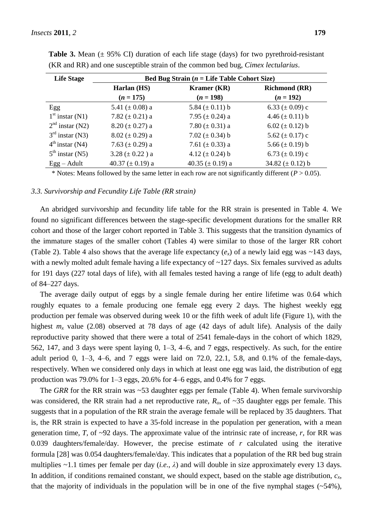| <b>Life Stage</b> | Bed Bug Strain ( $n =$ Life Table Cohort Size) |                       |                      |  |  |  |  |  |  |
|-------------------|------------------------------------------------|-----------------------|----------------------|--|--|--|--|--|--|
|                   | Harlan (HS)                                    | Kramer (KR)           | <b>Richmond (RR)</b> |  |  |  |  |  |  |
|                   | $(n = 175)$                                    | $(n = 198)$           | $(n = 192)$          |  |  |  |  |  |  |
| Egg               | 5.41 ( $\pm$ 0.08) a                           | 5.84 $(\pm 0.11)$ b   | 6.33 $(\pm 0.09)$ c  |  |  |  |  |  |  |
| $1st$ instar (N1) | 7.82 $(\pm 0.21)$ a                            | 7.95 $(\pm 0.24)$ a   | 4.46 $(\pm 0.11)$ b  |  |  |  |  |  |  |
| $2nd$ instar (N2) | 8.20 ( $\pm$ 0.27) a                           | 7.80 ( $\pm$ 0.31) a  | 6.02 $(\pm 0.12)$ b  |  |  |  |  |  |  |
| $3rd$ instar (N3) | $8.02 (\pm 0.29)$ a                            | 7.02 $(\pm 0.34)$ b   | 5.62 $(\pm 0.17)$ c  |  |  |  |  |  |  |
| $4th$ instar (N4) | 7.63 $(\pm 0.29)$ a                            | 7.61 $(\pm 0.33)$ a   | 5.66 $(\pm 0.19)$ b  |  |  |  |  |  |  |
| $5th$ instar (N5) | $3.28 (\pm 0.22) a$                            | 4.12 $(\pm 0.24)$ b   | 6.73 $(\pm 0.19)$ c  |  |  |  |  |  |  |
| $Egg - Adult$     | 40.37 ( $\pm$ 0.19) a                          | 40.35 ( $\pm$ 0.19) a | 34.82 $(\pm 0.12)$ b |  |  |  |  |  |  |

**Table 3.** Mean  $(\pm 95\% \text{ CI})$  duration of each life stage (days) for two pyrethroid-resistant (KR and RR) and one susceptible strain of the common bed bug, *Cimex lectularius*.

\* Notes: Means followed by the same letter in each row are not significantly different  $(P > 0.05)$ .

# *3.3. Survivorship and Fecundity Life Table (RR strain)*

An abridged survivorship and fecundity life table for the RR strain is presented in Table 4. We found no significant differences between the stage-specific development durations for the smaller RR cohort and those of the larger cohort reported in Table 3. This suggests that the transition dynamics of the immature stages of the smaller cohort (Tables 4) were similar to those of the larger RR cohort (Table 2). Table 4 also shows that the average life expectancy  $(e_x)$  of a newly laid egg was ~143 days, with a newly molted adult female having a life expectancy of  $\sim$ 127 days. Six females survived as adults for 191 days (227 total days of life), with all females tested having a range of life (egg to adult death) of 84–227 days.

The average daily output of eggs by a single female during her entire lifetime was 0.64 which roughly equates to a female producing one female egg every 2 days. The highest weekly egg production per female was observed during week 10 or the fifth week of adult life (Figure 1), with the highest  $m<sub>x</sub>$  value (2.08) observed at 78 days of age (42 days of adult life). Analysis of the daily reproductive parity showed that there were a total of 2541 female-days in the cohort of which 1829, 562, 147, and 3 days were spent laying 0, 1–3, 4–6, and 7 eggs, respectively. As such, for the entire adult period 0,  $1-3$ ,  $4-6$ , and 7 eggs were laid on 72.0, 22.1, 5.8, and 0.1% of the female-days, respectively. When we considered only days in which at least one egg was laid, the distribution of egg production was 79.0% for  $1-3$  eggs,  $20.6\%$  for  $4-6$  eggs, and  $0.4\%$  for 7 eggs.

The *GRR* for the RR strain was ~53 daughter eggs per female (Table 4). When female survivorship was considered, the RR strain had a net reproductive rate,  $R<sub>o</sub>$ , of ~35 daughter eggs per female. This suggests that in a population of the RR strain the average female will be replaced by 35 daughters. That is, the RR strain is expected to have a 35-fold increase in the population per generation, with a mean generation time, *T*, of  $\sim$ 92 days. The approximate value of the intrinsic rate of increase, *r*, for RR was 0.039 daughters/female/day. However, the precise estimate of *r* calculated using the iterative formula [28] was 0.054 daughters/female/day. This indicates that a population of the RR bed bug strain multiplies ~1.1 times per female per day (*i.e*., *λ*) and will double in size approximately every 13 days. In addition, if conditions remained constant, we should expect, based on the stable age distribution,  $c<sub>x</sub>$ , that the majority of individuals in the population will be in one of the five nymphal stages  $(\sim 54\%)$ ,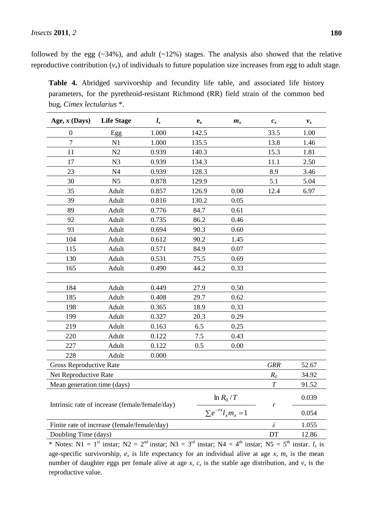followed by the egg  $(\sim 34\%)$ , and adult  $(\sim 12\%)$  stages. The analysis also showed that the relative reproductive contribution  $(v_x)$  of individuals to future population size increases from egg to adult stage.

**Table 4.** Abridged survivorship and fecundity life table, and associated life history parameters, for the pyrethroid-resistant Richmond (RR) field strain of the common bed bug, *Cimex lectularius* \*.

| Age, $x$ (Days)                                               | <b>Life Stage</b> | $l_{x}$<br>$\mathbf{e}_{\mathbf{x}}$<br>$m_{x}$ |       | $c_x$                      | $v_x$ |       |
|---------------------------------------------------------------|-------------------|-------------------------------------------------|-------|----------------------------|-------|-------|
| $\boldsymbol{0}$                                              | Egg               | 1.000                                           | 142.5 |                            | 33.5  | 1.00  |
| $\boldsymbol{7}$                                              | N1                | 1.000                                           | 135.5 |                            | 13.8  | 1.46  |
| 11                                                            | N2                | 0.939                                           | 140.3 |                            | 15.3  | 1.81  |
| 17                                                            | N <sub>3</sub>    | 0.939                                           | 134.3 |                            | 11.1  | 2.50  |
| 23                                                            | N <sub>4</sub>    | 0.939                                           | 128.3 |                            | 8.9   | 3.46  |
| 30                                                            | N <sub>5</sub>    | 0.878                                           | 129.9 |                            | 5.1   | 5.04  |
| 35                                                            | Adult             | 0.857                                           | 126.9 | 0.00                       | 12.4  | 6.97  |
| 39                                                            | Adult             | 0.816                                           | 130.2 | 0.05                       |       |       |
| 89                                                            | Adult             | 0.776                                           | 84.7  | 0.61                       |       |       |
| 92                                                            | Adult             | 0.735                                           | 86.2  | 0.46                       |       |       |
| 93                                                            | Adult             | 0.694                                           | 90.3  | 0.60                       |       |       |
| 104                                                           | Adult             | 0.612                                           | 90.2  | 1.45                       |       |       |
| 115                                                           | Adult             | 0.571                                           | 84.9  | 0.07                       |       |       |
| 130                                                           | Adult             | 0.531                                           | 75.5  | 0.69                       |       |       |
| 165                                                           | Adult             | 0.490                                           | 44.2  | 0.33                       |       |       |
|                                                               |                   |                                                 |       |                            |       |       |
| 184                                                           | Adult             | 0.449                                           | 27.9  | 0.50                       |       |       |
| 185                                                           | Adult             | 0.408                                           | 29.7  | 0.62                       |       |       |
| 198                                                           | Adult             | 0.365                                           | 18.9  | 0.33                       |       |       |
| 199                                                           | Adult             | 0.327                                           | 20.3  | 0.29                       |       |       |
| 219                                                           | Adult             | 0.163                                           | 6.5   | 0.25                       |       |       |
| 220                                                           | Adult             | 0.122                                           | 7.5   | 0.43                       |       |       |
| 227                                                           | Adult             | 0.122                                           | 0.5   | 0.00                       |       |       |
| 228                                                           | Adult             | 0.000                                           |       |                            |       |       |
| Gross Reproductive Rate                                       |                   | <b>GRR</b>                                      | 52.67 |                            |       |       |
| Net Reproductive Rate                                         |                   | $R_0$                                           | 34.92 |                            |       |       |
| Mean generation time (days)                                   |                   | $\boldsymbol{T}$                                | 91.52 |                            |       |       |
| $\ln R_0/T$<br>Intrinsic rate of increase (female/female/day) |                   |                                                 |       |                            |       | 0.039 |
|                                                               |                   |                                                 |       | $\sum e^{-rx} l_x m_x = 1$ | r     | 0.054 |
| Finite rate of increase (female/female/day)                   | λ                 | 1.055                                           |       |                            |       |       |
| Doubling Time (days)                                          | DT                | 12.86                                           |       |                            |       |       |

\* Notes: N1 = 1<sup>st</sup> instar; N2 = 2<sup>nd</sup> instar; N3 = 3<sup>rd</sup> instar; N4 = 4<sup>th</sup> instar; N5 = 5<sup>th</sup> instar.  $l_x$  is age-specific survivorship,  $e_x$  is life expectancy for an individual alive at age x,  $m_x$  is the mean number of daughter eggs per female alive at age *x*,  $c_x$  is the stable age distribution, and  $v_x$  is the reproductive value.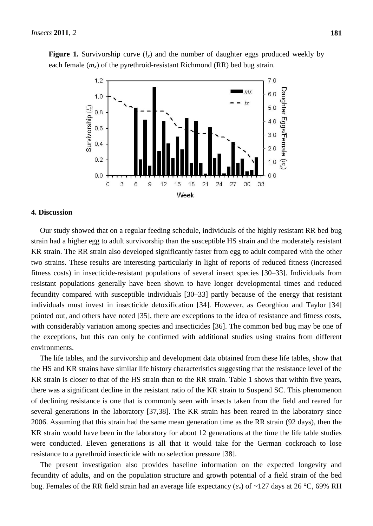**Figure 1.** Survivorship curve  $(l_x)$  and the number of daughter eggs produced weekly by each female  $(m<sub>x</sub>)$  of the pyrethroid-resistant Richmond (RR) bed bug strain.



#### **4. Discussion**

Our study showed that on a regular feeding schedule, individuals of the highly resistant RR bed bug strain had a higher egg to adult survivorship than the susceptible HS strain and the moderately resistant KR strain. The RR strain also developed significantly faster from egg to adult compared with the other two strains. These results are interesting particularly in light of reports of reduced fitness (increased fitness costs) in insecticide-resistant populations of several insect species [30–33]. Individuals from resistant populations generally have been shown to have longer developmental times and reduced fecundity compared with susceptible individuals [30–33] partly because of the energy that resistant individuals must invest in insecticide detoxification [34]. However, as Georghiou and Taylor [34] pointed out, and others have noted [35], there are exceptions to the idea of resistance and fitness costs, with considerably variation among species and insecticides [36]. The common bed bug may be one of the exceptions, but this can only be confirmed with additional studies using strains from different environments.

The life tables, and the survivorship and development data obtained from these life tables, show that the HS and KR strains have similar life history characteristics suggesting that the resistance level of the KR strain is closer to that of the HS strain than to the RR strain. Table 1 shows that within five years, there was a significant decline in the resistant ratio of the KR strain to Suspend SC. This phenomenon of declining resistance is one that is commonly seen with insects taken from the field and reared for several generations in the laboratory [37,38]. The KR strain has been reared in the laboratory since 2006. Assuming that this strain had the same mean generation time as the RR strain (92 days), then the KR strain would have been in the laboratory for about 12 generations at the time the life table studies were conducted. Eleven generations is all that it would take for the German cockroach to lose resistance to a pyrethroid insecticide with no selection pressure [38].

The present investigation also provides baseline information on the expected longevity and fecundity of adults, and on the population structure and growth potential of a field strain of the bed bug. Females of the RR field strain had an average life expectancy  $(e_x)$  of ~127 days at 26 °C, 69% RH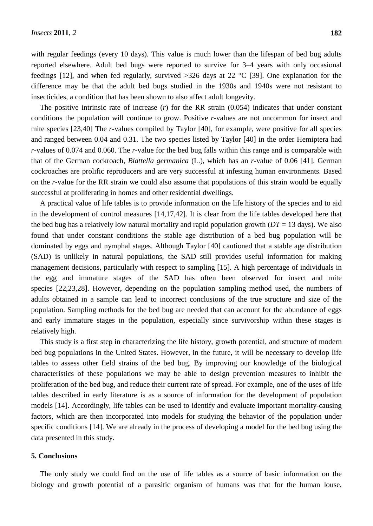with regular feedings (every 10 days). This value is much lower than the lifespan of bed bug adults reported elsewhere. Adult bed bugs were reported to survive for 3–4 years with only occasional feedings [12], and when fed regularly, survived  $>326$  days at 22 °C [39]. One explanation for the difference may be that the adult bed bugs studied in the 1930s and 1940s were not resistant to insecticides, a condition that has been shown to also affect adult longevity.

The positive intrinsic rate of increase (*r*) for the RR strain (0.054) indicates that under constant conditions the population will continue to grow. Positive *r*-values are not uncommon for insect and mite species [23,40] The *r*-values compiled by Taylor [40], for example, were positive for all species and ranged between 0.04 and 0.31. The two species listed by Taylor [40] in the order Hemiptera had *r*-values of 0.074 and 0.060. The *r*-value for the bed bug falls within this range and is comparable with that of the German cockroach, *Blattella germanica* (L.), which has an *r*-value of 0.06 [41]. German cockroaches are prolific reproducers and are very successful at infesting human environments. Based on the *r*-value for the RR strain we could also assume that populations of this strain would be equally successful at proliferating in homes and other residential dwellings.

A practical value of life tables is to provide information on the life history of the species and to aid in the development of control measures [14,17,42]. It is clear from the life tables developed here that the bed bug has a relatively low natural mortality and rapid population growth  $(DT = 13 \text{ days})$ . We also found that under constant conditions the stable age distribution of a bed bug population will be dominated by eggs and nymphal stages. Although Taylor [40] cautioned that a stable age distribution (SAD) is unlikely in natural populations, the SAD still provides useful information for making management decisions, particularly with respect to sampling [15]. A high percentage of individuals in the egg and immature stages of the SAD has often been observed for insect and mite species [22,23,28]. However, depending on the population sampling method used, the numbers of adults obtained in a sample can lead to incorrect conclusions of the true structure and size of the population. Sampling methods for the bed bug are needed that can account for the abundance of eggs and early immature stages in the population, especially since survivorship within these stages is relatively high.

This study is a first step in characterizing the life history, growth potential, and structure of modern bed bug populations in the United States. However, in the future, it will be necessary to develop life tables to assess other field strains of the bed bug. By improving our knowledge of the biological characteristics of these populations we may be able to design prevention measures to inhibit the proliferation of the bed bug, and reduce their current rate of spread. For example, one of the uses of life tables described in early literature is as a source of information for the development of population models [14]. Accordingly, life tables can be used to identify and evaluate important mortality-causing factors, which are then incorporated into models for studying the behavior of the population under specific conditions [14]. We are already in the process of developing a model for the bed bug using the data presented in this study.

#### **5. Conclusions**

The only study we could find on the use of life tables as a source of basic information on the biology and growth potential of a parasitic organism of humans was that for the human louse,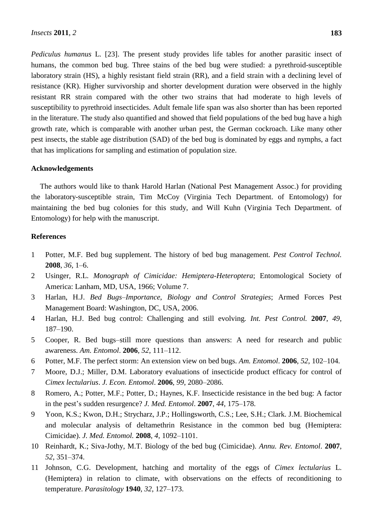*Pediculus humanus* L. [23]. The present study provides life tables for another parasitic insect of humans, the common bed bug. Three stains of the bed bug were studied: a pyrethroid-susceptible laboratory strain (HS), a highly resistant field strain (RR), and a field strain with a declining level of resistance (KR). Higher survivorship and shorter development duration were observed in the highly resistant RR strain compared with the other two strains that had moderate to high levels of susceptibility to pyrethroid insecticides. Adult female life span was also shorter than has been reported in the literature. The study also quantified and showed that field populations of the bed bug have a high growth rate, which is comparable with another urban pest, the German cockroach. Like many other pest insects, the stable age distribution (SAD) of the bed bug is dominated by eggs and nymphs, a fact that has implications for sampling and estimation of population size.

### **Acknowledgements**

The authors would like to thank Harold Harlan (National Pest Management Assoc.) for providing the laboratory-susceptible strain, Tim McCoy (Virginia Tech Department. of Entomology) for maintaining the bed bug colonies for this study, and Will Kuhn (Virginia Tech Department. of Entomology) for help with the manuscript.

# **References**

- 1 Potter, M.F. Bed bug supplement. The history of bed bug management. *Pest Control Technol.* **2008**, *36*, 1–6.
- 2 Usinger, R.L. *Monograph of Cimicidae: Hemiptera-Heteroptera*; Entomological Society of America: Lanham, MD, USA, 1966; Volume 7.
- 3 Harlan, H.J. *Bed Bugs–Importance*, *Biology and Control Strategies*; Armed Forces Pest Management Board: Washington, DC, USA, 2006.
- 4 Harlan, H.J. Bed bug control: Challenging and still evolving*. Int. Pest Control.* **2007**, *49*, 187–190.
- 5 Cooper, R. Bed bugs–still more questions than answers: A need for research and public awareness. *Am. Entomol*. **2006**, *52*, 111–112.
- 6 Potter, M.F. The perfect storm: An extension view on bed bugs. *Am. Entomol*. **2006**, *52*, 102–104.
- 7 Moore, D.J.; Miller, D.M. Laboratory evaluations of insecticide product efficacy for control of *Cimex lectularius*. *J. Econ. Entomol*. **2006**, *99*, 2080–2086.
- 8 Romero, A.; Potter, M.F.; Potter, D.; Haynes, K.F. Insecticide resistance in the bed bug: A factor in the pest's sudden resurgence? *J. Med. Entomol*. **2007**, *44*, 175–178.
- 9 Yoon, K.S.; Kwon, D.H.; Strycharz, J.P.; Hollingsworth, C.S.; Lee, S.H.; Clark. J.M. Biochemical and molecular analysis of deltamethrin Resistance in the common bed bug (Hemiptera: Cimicidae). *J. Med. Entomol.* **2008**, *4*, 1092–1101.
- 10 Reinhardt, K.; Siva-Jothy, M.T. Biology of the bed bug (Cimicidae). *Annu. Rev. Entomol*. **2007**, *52*, 351–374.
- 11 Johnson, C.G. Development, hatching and mortality of the eggs of *Cimex lectularius* L. (Hemiptera) in relation to climate, with observations on the effects of reconditioning to temperature. *Parasitology* **1940**, *32*, 127–173.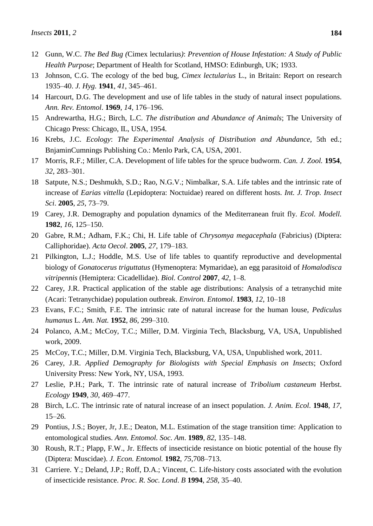- 12 Gunn, W.C. *The Bed Bug (*Cimex lectularius*)*: *Prevention of House Infestation: A Study of Public Health Purpose*; Department of Health for Scotland, HMSO: Edinburgh, UK; 1933.
- 13 Johnson, C.G. The ecology of the bed bug, *Cimex lectularius* L., in Britain: Report on research 1935–40. *J. Hyg.* **1941**, *41*, 345–461.
- 14 Harcourt, D.G. The development and use of life tables in the study of natural insect populations. *Ann. Rev. Entomol*. **1969**, *14*, 176–196.
- 15 Andrewartha, H.G.; Birch, L.C. *The distribution and Abundance of Animals*; The University of Chicago Press: Chicago, IL, USA, 1954.
- 16 Krebs, J.C. *Ecology*: *The Experimental Analysis of Distribution and Abundance*, 5th ed.; BnjaminCumnings Publishing Co.: Menlo Park, CA, USA, 2001.
- 17 Morris, R.F.; Miller, C.A. Development of life tables for the spruce budworm. *Can. J. Zool.* **1954**, *32*, 283–301.
- 18 Satpute, N.S.; Deshmukh, S.D.; Rao, N.G.V.; Nimbalkar, S.A. Life tables and the intrinsic rate of increase of *Earias vittella* (Lepidoptera: Noctuidae) reared on different hosts. *Int. J. Trop. Insect Sci*. **2005**, *25*, 73–79.
- 19 Carey, J.R. Demography and population dynamics of the Mediterranean fruit fly. *Ecol. Modell.* **1982**, *16*, 125–150.
- 20 Gabre, R.M.; Adham, F.K.; Chi, H. Life table of *Chrysomya megacephala* (Fabricius) (Diptera: Calliphoridae). *Acta Oecol*. **2005**, *27*, 179–183.
- 21 Pilkington, L.J.; Hoddle, M.S. Use of life tables to quantify reproductive and developmental biology of *Gonatocerus triguttatus* (Hymenoptera: Mymaridae), an egg parasitoid of *Homalodisca vitripennis* (Hemiptera: Cicadellidae). *Biol. Control* **2007**, *42*, 1–8.
- 22 Carey, J.R. Practical application of the stable age distributions: Analysis of a tetranychid mite (Acari: Tetranychidae) population outbreak. *Environ. Entomol*. **1983**, *12*, 10–18
- 23 Evans, F.C.; Smith, F.E. The intrinsic rate of natural increase for the human louse, *Pediculus humanus* L. *Am. Nat.* **1952**, *86*, 299–310.
- 24 Polanco, A.M.; McCoy, T.C.; Miller, D.M. Virginia Tech, Blacksburg, VA, USA, Unpublished work, 2009.
- 25 McCoy, T.C.; Miller, D.M. Virginia Tech, Blacksburg, VA, USA, Unpublished work, 2011.
- 26 Carey, J.R. *Applied Demography for Biologists with Special Emphasis on Insects*; Oxford University Press: New York, NY, USA, 1993.
- 27 Leslie, P.H.; Park, T. The intrinsic rate of natural increase of *Tribolium castaneum* Herbst. *Ecology* **1949**, *30*, 469–477.
- 28 Birch, L.C. The intrinsic rate of natural increase of an insect population. *J. Anim. Ecol*. **1948**, *17*, 15–26.
- 29 Pontius, J.S.; Boyer, Jr, J.E.; Deaton, M.L. Estimation of the stage transition time: Application to entomological studies. *Ann. Entomol. Soc. Am*. **1989**, *82*, 135–148.
- 30 Roush, R.T.; Plapp, F.W., Jr. Effects of insecticide resistance on biotic potential of the house fly (Diptera: Muscidae). *J. Econ. Entomol.* **1982**, *75*,708–713.
- 31 Carriere. Y.; Deland, J.P.; Roff, D.A.; Vincent, C. Life-history costs associated with the evolution of insecticide resistance. *Proc. R. Soc. Lond*. *B* **1994**, *258*, 35–40.